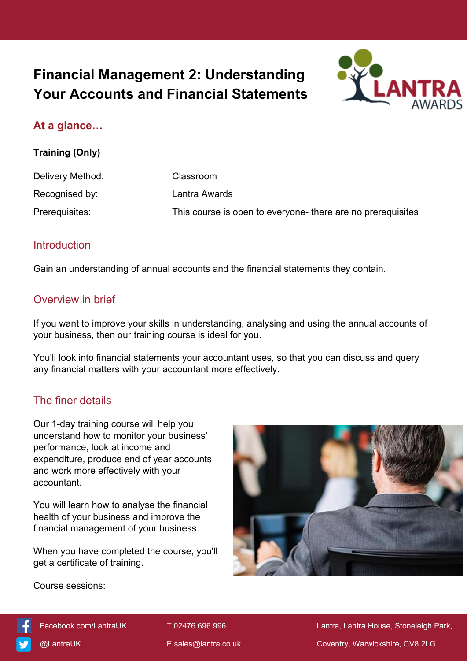# **Financial Management 2: Understanding Your Accounts and Financial Statements**



# **At a glance…**

#### **Training (Only)**

| Delivery Method: | Classroom                                                   |
|------------------|-------------------------------------------------------------|
| Recognised by:   | Lantra Awards                                               |
| Prerequisites:   | This course is open to everyone- there are no prerequisites |

### **Introduction**

Gain an understanding of annual accounts and the financial statements they contain.

### Overview in brief

If you want to improve your skills in understanding, analysing and using the annual accounts of your business, then our training course is ideal for you.

You'll look into financial statements your accountant uses, so that you can discuss and query any financial matters with your accountant more effectively.

### The finer details

Our 1-day training course will help you understand how to monitor your business' performance, look at income and expenditure, produce end of year accounts and work more effectively with your accountant.

You will learn how to analyse the financial health of your business and improve the financial management of your business.

When you have completed the course, you'll get a certificate of training.



Course sessions:



[Facebook.com/LantraUK](https://www.facebook.com/LantraUK/) T 02476 696 996 Lantra, Lantra, Lantra House, Stoneleigh Park, [@LantraUK](http://www.twitter.com/lantrauk) E [sales@lantra.co.uk](mailto:sales@lantra.co.uk) Coventry, Warwickshire, CV8 2LG